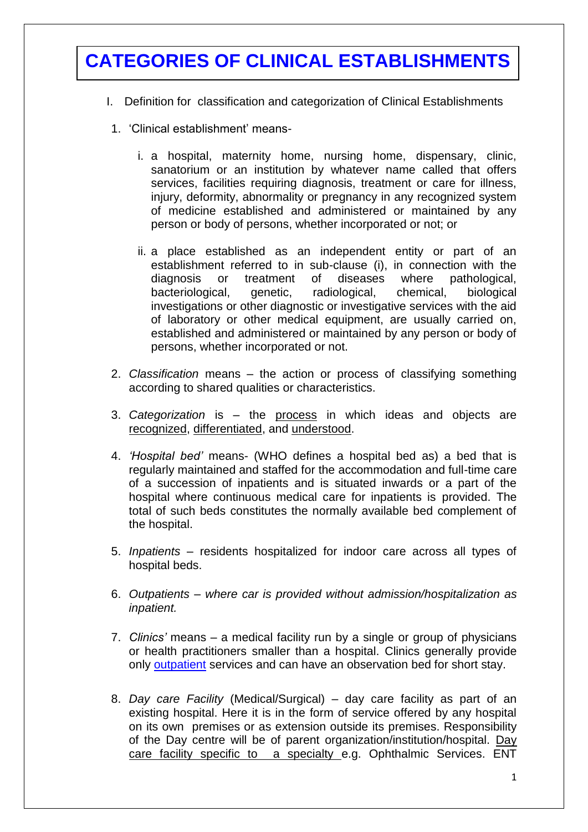# **CATEGORIES OF CLINICAL ESTABLISHMENTS**

- I. Definition for classification and categorization of Clinical Establishments
	- 1. 'Clinical establishment' means
		- i. a hospital, maternity home, nursing home, dispensary, clinic, sanatorium or an institution by whatever name called that offers services, facilities requiring diagnosis, treatment or care for illness, injury, deformity, abnormality or pregnancy in any recognized system of medicine established and administered or maintained by any person or body of persons, whether incorporated or not; or
		- ii. a place established as an independent entity or part of an establishment referred to in sub-clause (i), in connection with the diagnosis or treatment of diseases where pathological, bacteriological, genetic, radiological, chemical, biological investigations or other diagnostic or investigative services with the aid of laboratory or other medical equipment, are usually carried on, established and administered or maintained by any person or body of persons, whether incorporated or not.
	- 2. *Classification* means the action or process of classifying something according to shared qualities or characteristics.
	- 3. *Categorization* is the process in which ideas and objects are recognized, differentiated, and understood.
	- 4. *'Hospital bed'* means- (WHO defines a hospital bed as) a bed that is regularly maintained and staffed for the accommodation and full-time care of a succession of inpatients and is situated inwards or a part of the hospital where continuous medical care for inpatients is provided. The total of such beds constitutes the normally available bed complement of the hospital.
	- 5. *Inpatients* residents hospitalized for indoor care across all types of hospital beds.
	- 6. *Outpatients – where car is provided without admission/hospitalization as inpatient.*
	- 7. *Clinics'* means a medical facility run by a single or group of physicians or health practitioners smaller than a hospital. Clinics generally provide only [outpatient](http://en.wikipedia.org/wiki/Outpatient) services and can have an observation bed for short stay.
	- 8. *Day care Facility* (Medical/Surgical) day care facility as part of an existing hospital. Here it is in the form of service offered by any hospital on its own premises or as extension outside its premises. Responsibility of the Day centre will be of parent organization/institution/hospital. Day care facility specific to a specialty e.g. Ophthalmic Services. ENT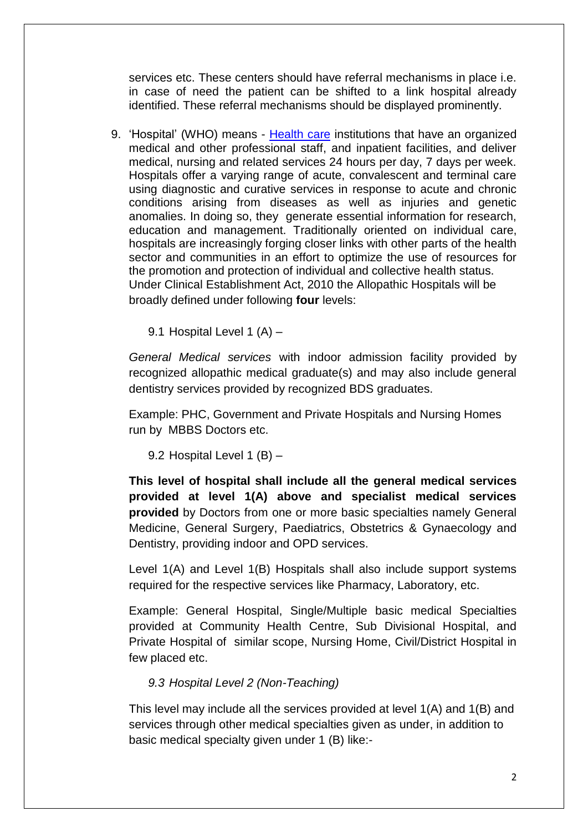services etc. These centers should have referral mechanisms in place i.e. in case of need the patient can be shifted to a link hospital already identified. These referral mechanisms should be displayed prominently.

9. 'Hospital' (WHO) means - [Health care](http://en.wikipedia.org/wiki/Health_care) institutions that have an organized medical and other professional staff, and inpatient facilities, and deliver medical, nursing and related services 24 hours per day, 7 days per week. Hospitals offer a varying range of acute, convalescent and terminal care using diagnostic and curative services in response to acute and chronic conditions arising from diseases as well as injuries and genetic anomalies. In doing so, they generate essential information for research, education and management. Traditionally oriented on individual care, hospitals are increasingly forging closer links with other parts of the health sector and communities in an effort to optimize the use of resources for the promotion and protection of individual and collective health status. Under Clinical Establishment Act, 2010 the Allopathic Hospitals will be broadly defined under following **four** levels:

9.1 Hospital Level 1 (A) –

*General Medical services* with indoor admission facility provided by recognized allopathic medical graduate(s) and may also include general dentistry services provided by recognized BDS graduates.

Example: PHC, Government and Private Hospitals and Nursing Homes run by MBBS Doctors etc.

9.2 Hospital Level 1 (B) –

**This level of hospital shall include all the general medical services provided at level 1(A) above and specialist medical services provided** by Doctors from one or more basic specialties namely General Medicine, General Surgery, Paediatrics, Obstetrics & Gynaecology and Dentistry, providing indoor and OPD services.

Level 1(A) and Level 1(B) Hospitals shall also include support systems required for the respective services like Pharmacy, Laboratory, etc.

Example: General Hospital, Single/Multiple basic medical Specialties provided at Community Health Centre, Sub Divisional Hospital, and Private Hospital of similar scope, Nursing Home, Civil/District Hospital in few placed etc.

#### *9.3 Hospital Level 2 (Non-Teaching)*

This level may include all the services provided at level 1(A) and 1(B) and services through other medical specialties given as under, in addition to basic medical specialty given under 1 (B) like:-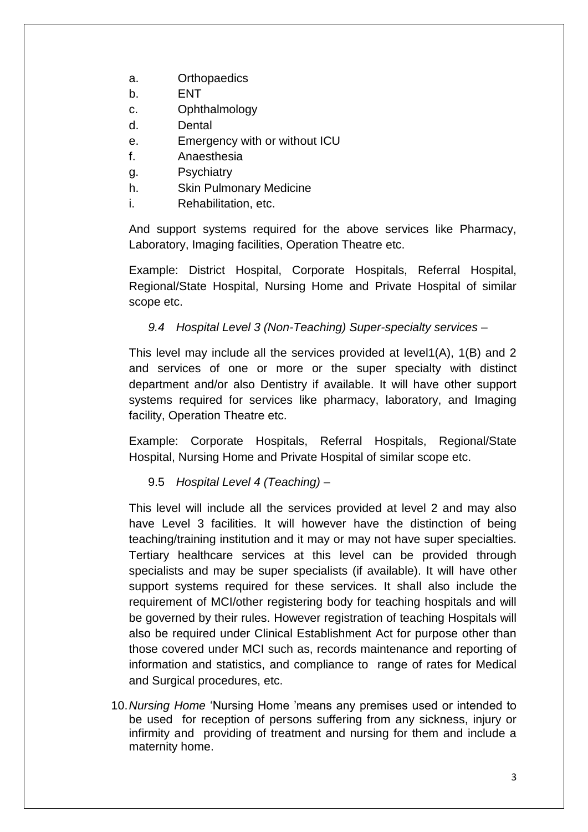- a. Orthopaedics
- b. ENT
- c. Ophthalmology
- d. Dental
- e. Emergency with or without ICU
- f. Anaesthesia
- g. Psychiatry
- h. Skin Pulmonary Medicine
- i. Rehabilitation, etc.

And support systems required for the above services like Pharmacy, Laboratory, Imaging facilities, Operation Theatre etc.

Example: District Hospital, Corporate Hospitals, Referral Hospital, Regional/State Hospital, Nursing Home and Private Hospital of similar scope etc.

### *9.4 Hospital Level 3 (Non-Teaching) Super-specialty services –*

This level may include all the services provided at level1(A), 1(B) and 2 and services of one or more or the super specialty with distinct department and/or also Dentistry if available. It will have other support systems required for services like pharmacy, laboratory, and Imaging facility, Operation Theatre etc.

Example: Corporate Hospitals, Referral Hospitals, Regional/State Hospital, Nursing Home and Private Hospital of similar scope etc.

9.5 *Hospital Level 4 (Teaching) –*

This level will include all the services provided at level 2 and may also have Level 3 facilities. It will however have the distinction of being teaching/training institution and it may or may not have super specialties. Tertiary healthcare services at this level can be provided through specialists and may be super specialists (if available). It will have other support systems required for these services. It shall also include the requirement of MCI/other registering body for teaching hospitals and will be governed by their rules. However registration of teaching Hospitals will also be required under Clinical Establishment Act for purpose other than those covered under MCI such as, records maintenance and reporting of information and statistics, and compliance to range of rates for Medical and Surgical procedures, etc.

10.*Nursing Home* 'Nursing Home 'means any premises used or intended to be used for reception of persons suffering from any sickness, injury or infirmity and providing of treatment and nursing for them and include a maternity home.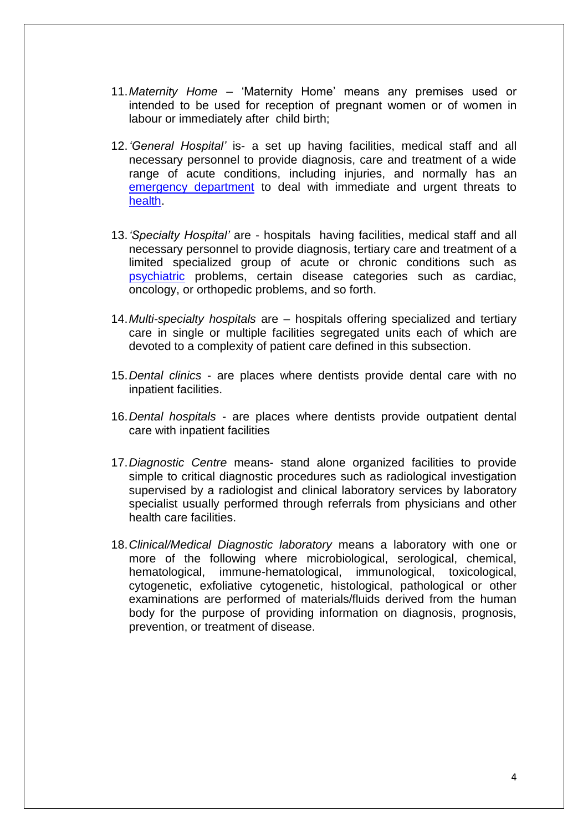- 11.*Maternity Home* 'Maternity Home' means any premises used or intended to be used for reception of pregnant women or of women in labour or immediately after child birth;
- 12.*'General Hospital'* is- a set up having facilities, medical staff and all necessary personnel to provide diagnosis, care and treatment of a wide range of acute conditions, including injuries, and normally has an [emergency department](http://en.wikipedia.org/wiki/Emergency_department) to deal with immediate and urgent threats to [health.](http://en.wikipedia.org/wiki/Health)
- 13.*'Specialty Hospital'* are hospitals having facilities, medical staff and all necessary personnel to provide diagnosis, tertiary care and treatment of a limited specialized group of acute or chronic conditions such as [psychiatric](http://en.wikipedia.org/wiki/Psychiatry) problems, certain disease categories such as cardiac. oncology, or orthopedic problems, and so forth.
- 14.*Multi-specialty hospitals* are hospitals offering specialized and tertiary care in single or multiple facilities segregated units each of which are devoted to a complexity of patient care defined in this subsection.
- 15.*Dental clinics* are places where dentists provide dental care with no inpatient facilities.
- 16.*Dental hospitals* are places where dentists provide outpatient dental care with inpatient facilities
- 17.*Diagnostic Centre* means- stand alone organized facilities to provide simple to critical diagnostic procedures such as radiological investigation supervised by a radiologist and clinical laboratory services by laboratory specialist usually performed through referrals from physicians and other health care facilities.
- 18.*Clinical/Medical Diagnostic laboratory* means a laboratory with one or more of the following where microbiological, serological, chemical, hematological, immune-hematological, immunological, toxicological, cytogenetic, exfoliative cytogenetic, histological, pathological or other examinations are performed of materials/fluids derived from the human body for the purpose of providing information on diagnosis, prognosis, prevention, or treatment of disease.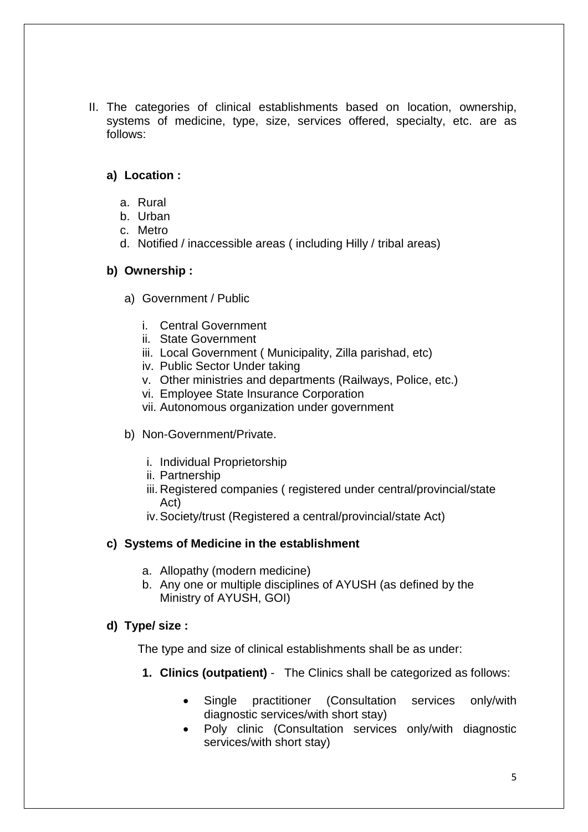II. The categories of clinical establishments based on location, ownership, systems of medicine, type, size, services offered, specialty, etc. are as follows:

## **a) Location :**

- a. Rural
- b. Urban
- c. Metro
- d. Notified / inaccessible areas ( including Hilly / tribal areas)

### **b) Ownership :**

- a) Government / Public
	- i. Central Government
	- ii. State Government
	- iii. Local Government ( Municipality, Zilla parishad, etc)
	- iv. Public Sector Under taking
	- v. Other ministries and departments (Railways, Police, etc.)
	- vi. Employee State Insurance Corporation
	- vii. Autonomous organization under government
- b) Non-Government/Private.
	- i. Individual Proprietorship
	- ii. Partnership
	- iii. Registered companies ( registered under central/provincial/state Act)
	- iv.Society/trust (Registered a central/provincial/state Act)

# **c) Systems of Medicine in the establishment**

- a. Allopathy (modern medicine)
- b. Any one or multiple disciplines of AYUSH (as defined by the Ministry of AYUSH, GOI)

# **d) Type/ size :**

The type and size of clinical establishments shall be as under:

- **1. Clinics (outpatient)** The Clinics shall be categorized as follows:
	- Single practitioner (Consultation services only/with diagnostic services/with short stay)
	- Poly clinic (Consultation services only/with diagnostic services/with short stay)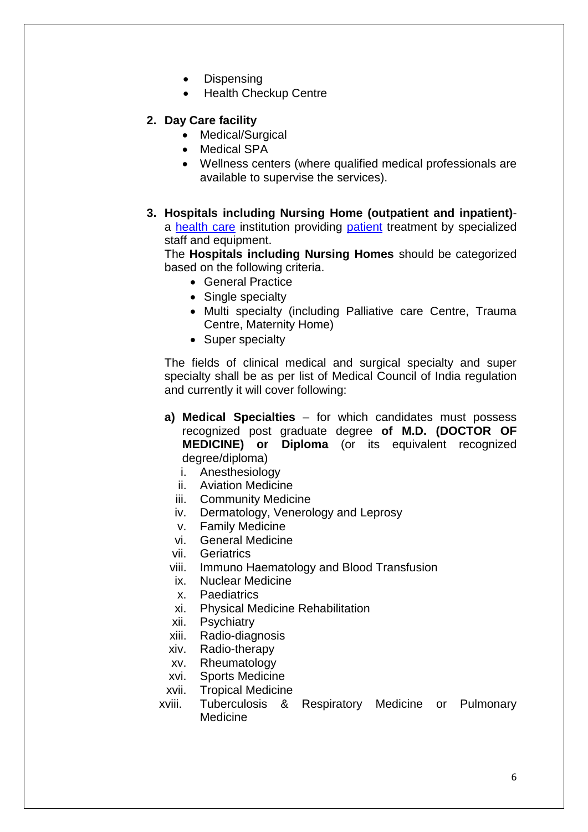- Dispensing
- Health Checkup Centre
- **2. Day Care facility**
	- Medical/Surgical
	- Medical SPA
	- Wellness centers (where qualified medical professionals are available to supervise the services).
- **3. Hospitals including Nursing Home (outpatient and inpatient)** a [health care](http://en.wikipedia.org/wiki/Health_care) institution providing [patient](http://en.wikipedia.org/wiki/Patient) treatment by specialized staff and equipment.

The **Hospitals including Nursing Homes** should be categorized based on the following criteria.

- General Practice
- Single specialty
- Multi specialty (including Palliative care Centre, Trauma Centre, Maternity Home)
- Super specialty

The fields of clinical medical and surgical specialty and super specialty shall be as per list of Medical Council of India regulation and currently it will cover following:

- **a) Medical Specialties** for which candidates must possess recognized post graduate degree **of M.D. (DOCTOR OF MEDICINE) or Diploma** (or its equivalent recognized degree/diploma)
	- i. Anesthesiology
	- ii. Aviation Medicine
	- iii. Community Medicine
	- iv. Dermatology, Venerology and Leprosy
	- v. Family Medicine
	- vi. General Medicine
	- vii. Geriatrics
- viii. Immuno Haematology and Blood Transfusion
- ix. Nuclear Medicine
- x. Paediatrics
- xi. Physical Medicine Rehabilitation
- xii. Psychiatry
- xiii. Radio-diagnosis
- xiv. Radio-therapy
- xv. Rheumatology
- xvi. Sports Medicine
- xvii. Tropical Medicine
- xviii. Tuberculosis & Respiratory Medicine or Pulmonary **Medicine**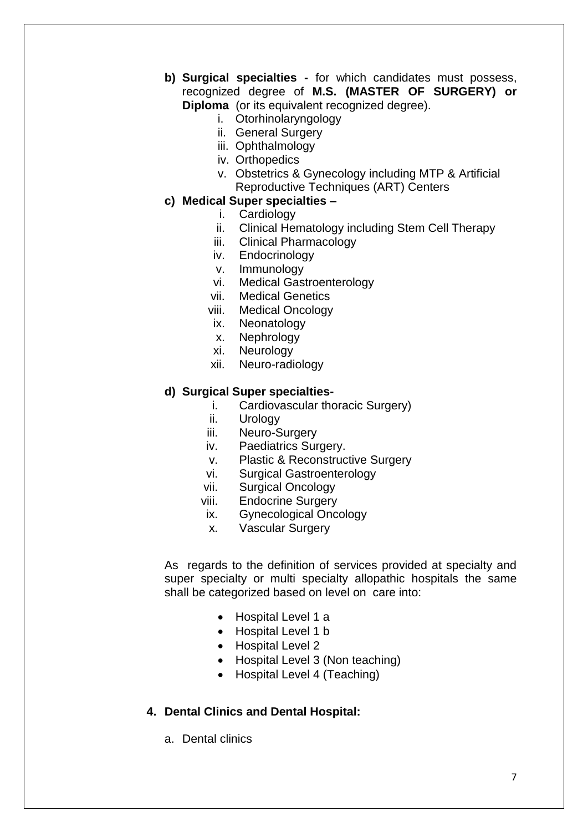- **b) Surgical specialties -** for which candidates must possess, recognized degree of **M.S. (MASTER OF SURGERY) or Diploma** (or its equivalent recognized degree).
	- i. Otorhinolaryngology
	- ii. General Surgery
	- iii. Ophthalmology
	- iv. Orthopedics
	- v. Obstetrics & Gynecology including MTP & Artificial Reproductive Techniques (ART) Centers

#### **c) Medical Super specialties –**

- i. Cardiology
- ii. Clinical Hematology including Stem Cell Therapy
- iii. Clinical Pharmacology
- iv. Endocrinology
- v. Immunology
- vi. Medical Gastroenterology
- vii. Medical Genetics
- viii. Medical Oncology
- ix. Neonatology
- x. Nephrology
- xi. Neurology
- xii. Neuro-radiology

#### **d) Surgical Super specialties-**

- i. Cardiovascular thoracic Surgery)
- ii. Urology
- iii. Neuro-Surgery
- iv. Paediatrics Surgery.
- v. Plastic & Reconstructive Surgery
- vi. Surgical Gastroenterology
- vii. Surgical Oncology
- viii. Endocrine Surgery
- ix. Gynecological Oncology
- x. Vascular Surgery

As regards to the definition of services provided at specialty and super specialty or multi specialty allopathic hospitals the same shall be categorized based on level on care into:

- Hospital Level 1 a
- Hospital Level 1 b
- Hospital Level 2
- Hospital Level 3 (Non teaching)
- Hospital Level 4 (Teaching)

#### **4. Dental Clinics and Dental Hospital:**

a. Dental clinics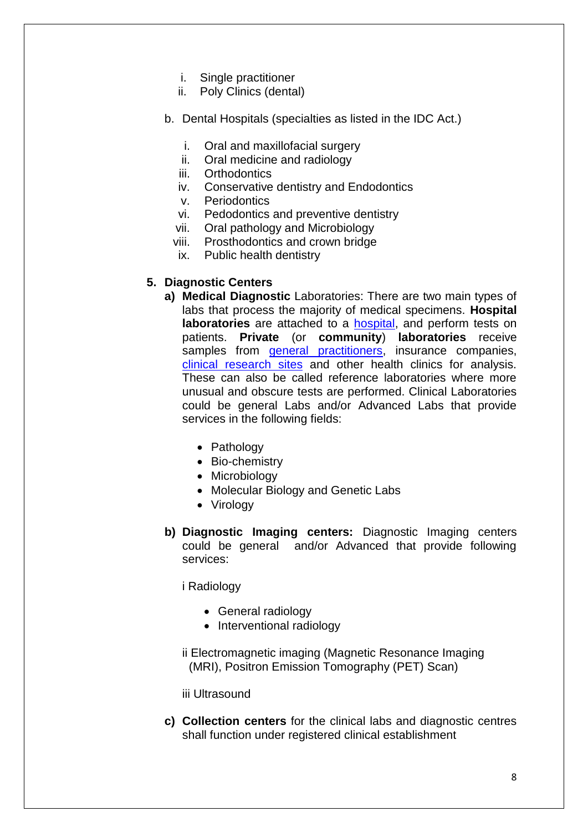- i. Single practitioner
- ii. Poly Clinics (dental)
- b. Dental Hospitals (specialties as listed in the IDC Act.)
	- i. Oral and maxillofacial surgery
	- ii. Oral medicine and radiology
	- iii. Orthodontics
	- iv. Conservative dentistry and Endodontics
	- v. Periodontics
	- vi. Pedodontics and preventive dentistry
	- vii. Oral pathology and Microbiology
	- viii. Prosthodontics and crown bridge
	- ix. Public health dentistry

# **5. Diagnostic Centers**

- **a) Medical Diagnostic** Laboratories: There are two main types of labs that process the majority of medical specimens. **Hospital laboratories** are attached to a [hospital,](http://en.wikipedia.org/wiki/Hospital) and perform tests on patients. **Private** (or **community**) **laboratories** receive samples from [general practitioners,](http://en.wikipedia.org/wiki/General_practitioner) insurance companies, [clinical research sites](http://en.wikipedia.org/wiki/Contract_research_organization) and other health clinics for analysis. These can also be called reference laboratories where more unusual and obscure tests are performed. Clinical Laboratories could be general Labs and/or Advanced Labs that provide services in the following fields:
	- Pathology
	- Bio-chemistry
	- Microbiology
	- Molecular Biology and Genetic Labs
	- Virology
- **b) Diagnostic Imaging centers:** Diagnostic Imaging centers could be general and/or Advanced that provide following services:

i Radiology

- General radiology
- Interventional radiology
- ii Electromagnetic imaging (Magnetic Resonance Imaging (MRI), Positron Emission Tomography (PET) Scan)

iii Ultrasound

**c) Collection centers** for the clinical labs and diagnostic centres shall function under registered clinical establishment